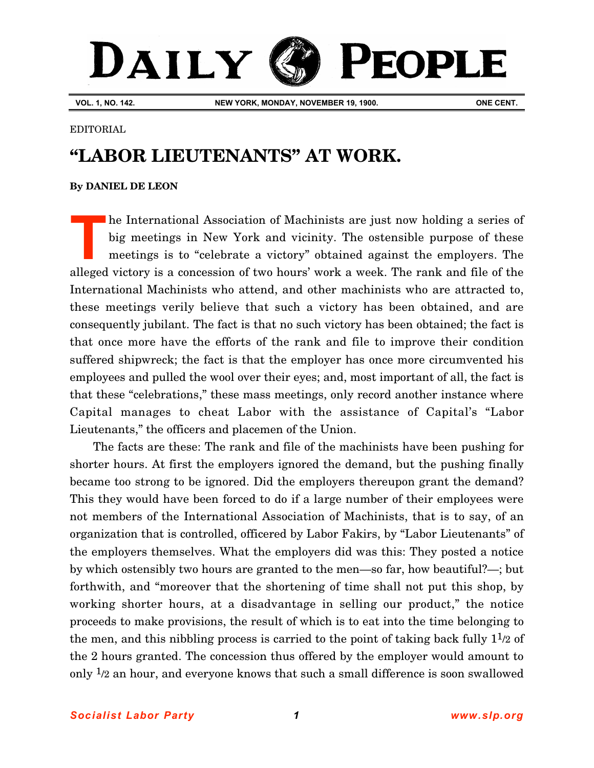## DAILY **PEOPLE**

**VOL. 1, NO. 142. NEW YORK, MONDAY, NOVEMBER 19, 1900. ONE CENT.**

## EDITORIAL

## **"LABOR LIEUTENANTS" AT WORK.**

## **By [DANIEL DE LEON](http://www.slp.org/De_Leon.htm)**

he International Association of Machinists are just now holding a series of big meetings in New York and vicinity. The ostensible purpose of these meetings is to "celebrate a victory" obtained against the employers. The alleged victory is a concession of two hours' work a week. The rank and file of the International Machinists who attend, and other machinists who are attracted to, these meetings verily believe that such a victory has been obtained, and are consequently jubilant. The fact is that no such victory has been obtained; the fact is that once more have the efforts of the rank and file to improve their condition suffered shipwreck; the fact is that the employer has once more circumvented his employees and pulled the wool over their eyes; and, most important of all, the fact is that these "celebrations," these mass meetings, only record another instance where Capital manages to cheat Labor with the assistance of Capital's "Labor Lieutenants," the officers and placemen of the Union. **T**

The facts are these: The rank and file of the machinists have been pushing for shorter hours. At first the employers ignored the demand, but the pushing finally became too strong to be ignored. Did the employers thereupon grant the demand? This they would have been forced to do if a large number of their employees were not members of the International Association of Machinists, that is to say, of an organization that is controlled, officered by Labor Fakirs, by "Labor Lieutenants" of the employers themselves. What the employers did was this: They posted a notice by which ostensibly two hours are granted to the men—so far, how beautiful?—; but forthwith, and "moreover that the shortening of time shall not put this shop, by working shorter hours, at a disadvantage in selling our product," the notice proceeds to make provisions, the result of which is to eat into the time belonging to the men, and this nibbling process is carried to the point of taking back fully  $1\frac{1}{2}$  of the 2 hours granted. The concession thus offered by the employer would amount to only 1/2 an hour, and everyone knows that such a small difference is soon swallowed